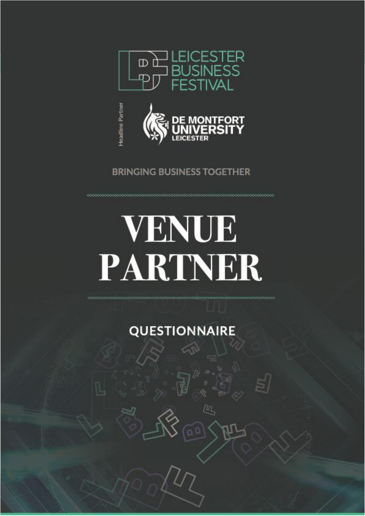



## **BRINGING BUSINESS TOGETHER**

## **VENUE** PARTNER

**QUESTIONNAIRE** 

ſη.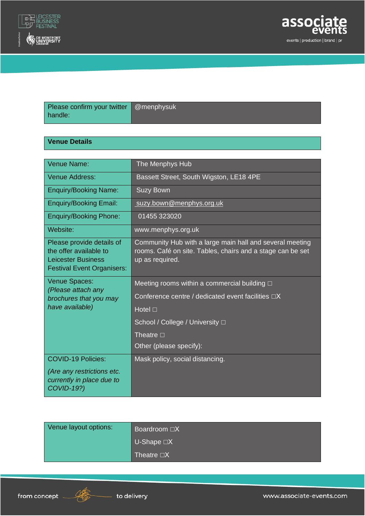



| Please confirm your twitter   @menphysuk |  |
|------------------------------------------|--|
| handle:                                  |  |

## **Venue Details**

| Venue Name:                                                                                                           | The Menphys Hub                                                                                                                                                                                                    |
|-----------------------------------------------------------------------------------------------------------------------|--------------------------------------------------------------------------------------------------------------------------------------------------------------------------------------------------------------------|
| Venue Address:                                                                                                        | Bassett Street, South Wigston, LE18 4PE                                                                                                                                                                            |
| <b>Enquiry/Booking Name:</b>                                                                                          | <b>Suzy Bown</b>                                                                                                                                                                                                   |
| <b>Enquiry/Booking Email:</b>                                                                                         | suzy.bown@menphys.org.uk                                                                                                                                                                                           |
| <b>Enquiry/Booking Phone:</b>                                                                                         | 01455 323020                                                                                                                                                                                                       |
| Website:                                                                                                              | www.menphys.org.uk                                                                                                                                                                                                 |
| Please provide details of<br>the offer available to<br><b>Leicester Business</b><br><b>Festival Event Organisers:</b> | Community Hub with a large main hall and several meeting<br>rooms. Café on site. Tables, chairs and a stage can be set<br>up as required.                                                                          |
|                                                                                                                       |                                                                                                                                                                                                                    |
| Venue Spaces:<br>(Please attach any<br>brochures that you may<br>have available)                                      | Meeting rooms within a commercial building $\Box$<br>Conference centre / dedicated event facilities $\Box X$<br>Hotel $\square$<br>School / College / University □<br>Theatre $\square$<br>Other (please specify): |

| Venue layout options: | Boardroom $\Box X$        |
|-----------------------|---------------------------|
|                       | $\cup$ -Shape $\square X$ |
|                       | Theatre □X                |

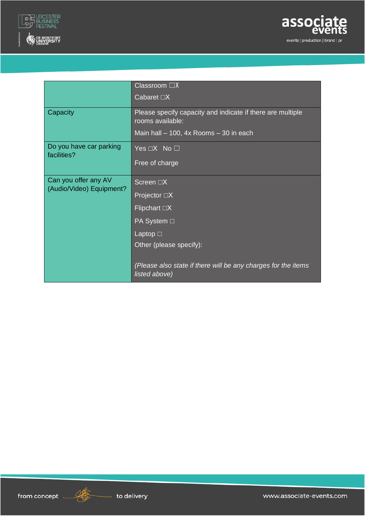



|                                                  | Classroom $\Box X$                                                             |
|--------------------------------------------------|--------------------------------------------------------------------------------|
|                                                  | Cabaret $\Box X$                                                               |
| Capacity                                         | Please specify capacity and indicate if there are multiple<br>rooms available: |
|                                                  | Main hall $-100$ , 4x Rooms $-30$ in each                                      |
| Do you have car parking<br>facilities?           | Yes $\Box X$ No $\Box$                                                         |
|                                                  | Free of charge                                                                 |
| Can you offer any AV<br>(Audio/Video) Equipment? | Screen $\Box X$                                                                |
|                                                  | Projector $\Box X$                                                             |
|                                                  | Flipchart $\Box X$                                                             |
|                                                  | PA System □                                                                    |
|                                                  | Laptop $\square$                                                               |
|                                                  | Other (please specify):                                                        |
|                                                  | (Please also state if there will be any charges for the items<br>listed above) |



<u>NS</u>